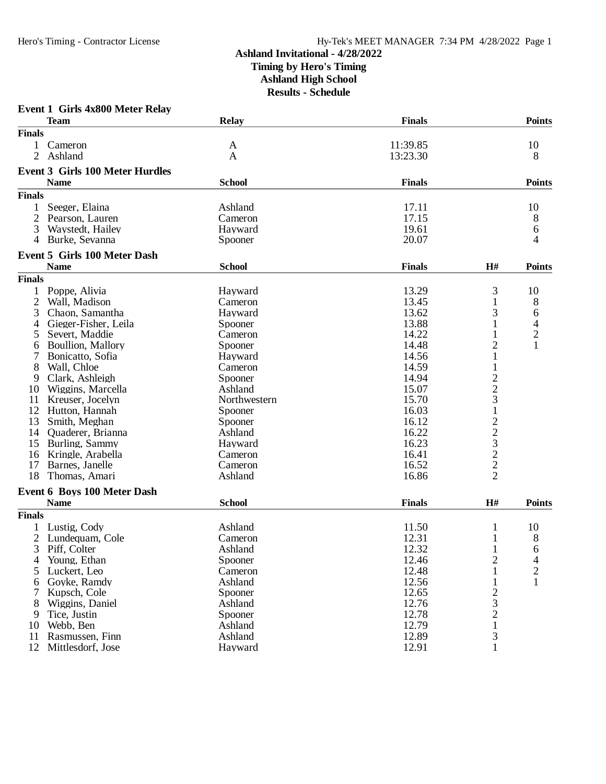|                | <b>Event 1 Girls 4x800 Meter Relay</b> |                    |                      |                                           |                                  |
|----------------|----------------------------------------|--------------------|----------------------|-------------------------------------------|----------------------------------|
| <b>Finals</b>  | <b>Team</b>                            | <b>Relay</b>       | <b>Finals</b>        |                                           | <b>Points</b>                    |
|                |                                        |                    |                      |                                           |                                  |
| 1<br>2         | Cameron<br>Ashland                     | A<br>A             | 11:39.85<br>13:23.30 |                                           | 10<br>8                          |
|                |                                        |                    |                      |                                           |                                  |
|                | <b>Event 3 Girls 100 Meter Hurdles</b> |                    |                      |                                           |                                  |
|                | <b>Name</b>                            | <b>School</b>      | <b>Finals</b>        |                                           | <b>Points</b>                    |
| <b>Finals</b>  |                                        |                    |                      |                                           |                                  |
| 1              | Seeger, Elaina                         | Ashland            | 17.11                |                                           | 10                               |
| 2              | Pearson, Lauren                        | Cameron            | 17.15                |                                           | 8                                |
| 3              | Waystedt, Hailey                       | Hayward            | 19.61                |                                           | 6                                |
| 4              | Burke, Sevanna                         | Spooner            | 20.07                |                                           | 4                                |
|                | <b>Event 5 Girls 100 Meter Dash</b>    |                    |                      |                                           |                                  |
|                | <b>Name</b>                            | <b>School</b>      | <b>Finals</b>        | H#                                        | <b>Points</b>                    |
| <b>Finals</b>  |                                        |                    |                      |                                           |                                  |
|                | Poppe, Alivia                          | Hayward            | 13.29                | 3                                         | 10                               |
| 2              | Wall, Madison                          | Cameron            | 13.45                | $\mathbf{1}$                              | 8                                |
| 3              | Chaon, Samantha                        | Hayward            | 13.62                | 3                                         | 6                                |
|                | Gieger-Fisher, Leila                   |                    | 13.88                | 1                                         |                                  |
| 4<br>5         |                                        | Spooner<br>Cameron | 14.22                | 1                                         | 4                                |
|                | Severt, Maddie                         |                    | 14.48                |                                           | $\overline{c}$<br>$\overline{1}$ |
| 6              | Boullion, Mallory                      | Spooner            |                      | $\overline{2}$                            |                                  |
|                | Bonicatto, Sofia                       | Hayward            | 14.56                | $\mathbf{1}$                              |                                  |
| 8              | Wall, Chloe                            | Cameron            | 14.59                | $\mathbf{1}$                              |                                  |
| 9              | Clark, Ashleigh                        | Spooner            | 14.94                | $\frac{2}{3}$                             |                                  |
| 10             | Wiggins, Marcella                      | Ashland            | 15.07                |                                           |                                  |
| 11             | Kreuser, Jocelyn                       | Northwestern       | 15.70                |                                           |                                  |
| 12             | Hutton, Hannah                         | Spooner            | 16.03                | $\mathbf 1$                               |                                  |
| 13             | Smith, Meghan                          | Spooner            | 16.12                |                                           |                                  |
| 14             | Quaderer, Brianna                      | Ashland            | 16.22                |                                           |                                  |
| 15             | Burling, Sammy                         | Hayward            | 16.23                |                                           |                                  |
| 16             | Kringle, Arabella                      | Cameron            | 16.41                |                                           |                                  |
| 17             | Barnes, Janelle                        | Cameron            | 16.52                | $\frac{2}{3}$ $\frac{3}{2}$ $\frac{2}{2}$ |                                  |
| 18             | Thomas, Amari                          | Ashland            | 16.86                |                                           |                                  |
|                | Event 6 Boys 100 Meter Dash            |                    |                      |                                           |                                  |
|                | <b>Name</b>                            | <b>School</b>      | <b>Finals</b>        | H#                                        | <b>Points</b>                    |
| <b>Finals</b>  |                                        |                    |                      |                                           |                                  |
|                | Lustig, Cody                           | Ashland            | 11.50                | 1                                         | 10                               |
| $\overline{2}$ | Lundequam, Cole                        | Cameron            | 12.31                | 1                                         | 8                                |
| 3              | Piff, Colter                           | Ashland            | 12.32                | $\perp$                                   | 6                                |
| 4              | Young, Ethan                           | Spooner            | 12.46                | $\overline{2}$                            | 4                                |
| 5              | Luckert, Leo                           | Cameron            | 12.48                | $\mathbf{1}$                              | $\overline{c}$                   |
| 6              | Goyke, Ramdy                           | Ashland            | 12.56                | 1                                         | $\mathbf{1}$                     |
| 7              |                                        |                    | 12.65                |                                           |                                  |
|                | Kupsch, Cole                           | Spooner            |                      | $\frac{2}{3}$                             |                                  |
| 8              | Wiggins, Daniel                        | Ashland            | 12.76                |                                           |                                  |
| 9              | Tice, Justin                           | Spooner            | 12.78                |                                           |                                  |
| 10             | Webb, Ben                              | Ashland            | 12.79                | $\mathbf{1}$                              |                                  |
| 11             | Rasmussen, Finn                        | Ashland            | 12.89                | 3                                         |                                  |
| 12             | Mittlesdorf, Jose                      | Hayward            | 12.91                | 1                                         |                                  |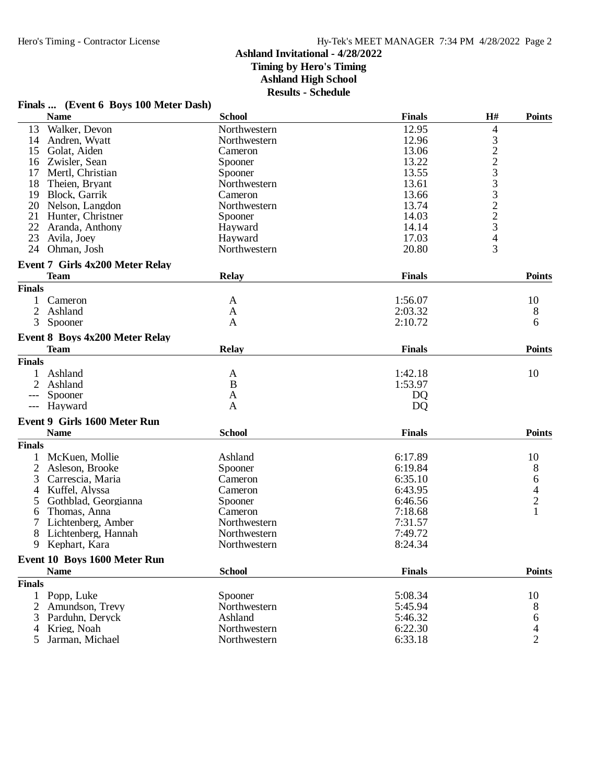**Finals ... (Event 6 Boys 100 Meter Dash)**

## **Ashland Invitational - 4/28/2022 Timing by Hero's Timing**

**Ashland High School**

**Results - Schedule**

|                | <b>Name</b>                            | <b>School</b> | <b>Finals</b> | H#             | <b>Points</b>            |
|----------------|----------------------------------------|---------------|---------------|----------------|--------------------------|
| 13             | Walker, Devon                          | Northwestern  | 12.95         | 4              |                          |
| 14             | Andren, Wyatt                          | Northwestern  | 12.96         |                |                          |
| 15             | Golat, Aiden                           | Cameron       | 13.06         | 32233223       |                          |
| 16             | Zwisler, Sean                          | Spooner       | 13.22         |                |                          |
| 17             | Mertl, Christian                       | Spooner       | 13.55         |                |                          |
| 18             | Theien, Bryant                         | Northwestern  | 13.61         |                |                          |
| 19             | Block, Garrik                          | Cameron       | 13.66         |                |                          |
| 20             | Nelson, Langdon                        | Northwestern  | 13.74         |                |                          |
| 21             | Hunter, Christner                      | Spooner       | 14.03         |                |                          |
| 22             | Aranda, Anthony                        | Hayward       | 14.14         |                |                          |
| 23             | Avila, Joey                            | Hayward       | 17.03         | $\overline{4}$ |                          |
| 24             | Ohman, Josh                            | Northwestern  | 20.80         | 3              |                          |
|                |                                        |               |               |                |                          |
|                | <b>Event 7 Girls 4x200 Meter Relay</b> |               |               |                |                          |
|                | <b>Team</b>                            | <b>Relay</b>  | <b>Finals</b> |                | <b>Points</b>            |
| <b>Finals</b>  |                                        |               |               |                |                          |
| 1              | Cameron                                | A             | 1:56.07       |                | 10                       |
| 2              | Ashland                                | A             | 2:03.32       |                | 8                        |
| 3              | Spooner                                | A             | 2:10.72       |                | 6                        |
|                | Event 8 Boys 4x200 Meter Relay         |               |               |                |                          |
|                | <b>Team</b>                            | <b>Relay</b>  | <b>Finals</b> |                | <b>Points</b>            |
| <b>Finals</b>  |                                        |               |               |                |                          |
| 1              | Ashland                                | A             | 1:42.18       |                | 10                       |
| 2              | Ashland                                | B             | 1:53.97       |                |                          |
| $---$          | Spooner                                | A             | <b>DQ</b>     |                |                          |
| $---$          | Hayward                                | $\mathbf{A}$  | <b>DQ</b>     |                |                          |
|                |                                        |               |               |                |                          |
|                | Event 9 Girls 1600 Meter Run           |               |               |                |                          |
|                | <b>Name</b>                            | <b>School</b> | <b>Finals</b> |                | <b>Points</b>            |
| <b>Finals</b>  |                                        |               |               |                |                          |
|                | McKuen, Mollie                         | Ashland       | 6:17.89       |                | 10                       |
| $\overline{2}$ | Asleson, Brooke                        | Spooner       | 6:19.84       |                | 8                        |
| 3              | Carrescia, Maria                       | Cameron       | 6:35.10       |                | $64$<br>$2$<br>$1$       |
| 4              | Kuffel, Alyssa                         | Cameron       | 6:43.95       |                |                          |
| 5              | Gothblad, Georgianna                   | Spooner       | 6:46.56       |                |                          |
| 6              | Thomas, Anna                           | Cameron       | 7:18.68       |                |                          |
|                | Lichtenberg, Amber                     | Northwestern  | 7:31.57       |                |                          |
| 8              | Lichtenberg, Hannah                    | Northwestern  | 7:49.72       |                |                          |
| 9              | Kephart, Kara                          | Northwestern  | 8:24.34       |                |                          |
|                | Event 10 Boys 1600 Meter Run           |               |               |                |                          |
|                | <b>Name</b>                            | <b>School</b> | <b>Finals</b> |                | <b>Points</b>            |
| <b>Finals</b>  |                                        |               |               |                |                          |
| $\mathbf{1}$   | Popp, Luke                             | Spooner       | 5:08.34       |                | 10                       |
| 2              | Amundson, Trevy                        | Northwestern  | 5:45.94       |                | 8                        |
| 3              | Parduhn, Deryck                        | Ashland       | 5:46.32       |                | 6                        |
|                | 4 Krieg, Noah                          | Northwestern  | 6:22.30       |                | $\overline{\mathcal{L}}$ |
|                | 5 Jarman, Michael                      | Northwestern  | 6:33.18       |                | $\overline{2}$           |
|                |                                        |               |               |                |                          |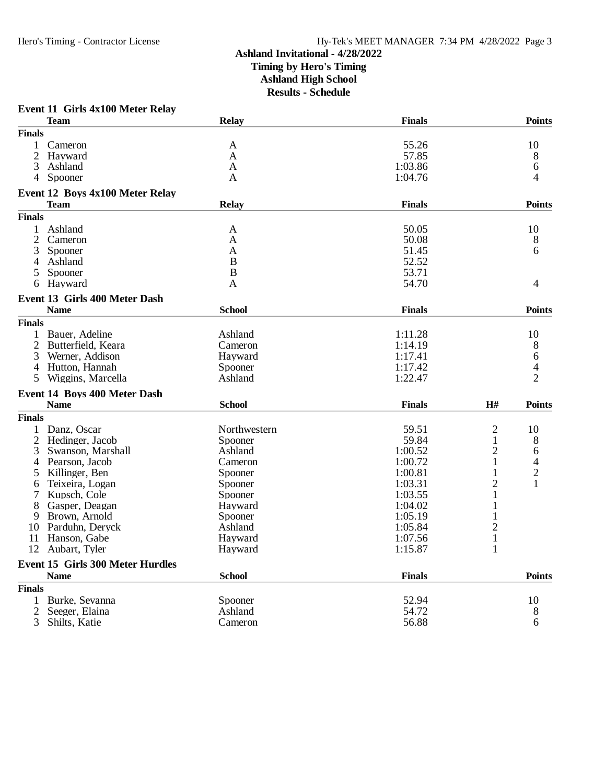## **Ashland Invitational - 4/28/2022 Timing by Hero's Timing Ashland High School**

**Results - Schedule**

|                | <b>Team</b>                                     | <b>Relay</b>  | <b>Finals</b> |                | <b>Points</b>            |
|----------------|-------------------------------------------------|---------------|---------------|----------------|--------------------------|
| <b>Finals</b>  |                                                 |               |               |                |                          |
| 1              | Cameron                                         | A             | 55.26         |                | 10                       |
| 2              | Hayward                                         | A             | 57.85         |                | 8                        |
| 3              | Ashland                                         | $\mathbf{A}$  | 1:03.86       |                | 6                        |
| 4              | Spooner                                         | A             | 1:04.76       |                | 4                        |
|                | Event 12 Boys 4x100 Meter Relay                 |               |               |                |                          |
|                | Team                                            | Relay         | <b>Finals</b> |                | <b>Points</b>            |
| <b>Finals</b>  |                                                 |               |               |                |                          |
| $\mathbf{1}$   | Ashland                                         | A             | 50.05         |                | 10                       |
| $\overline{2}$ | Cameron                                         | A             | 50.08         |                | 8                        |
| 3              | Spooner                                         | A             | 51.45         |                | 6                        |
| 4              | Ashland                                         | B             | 52.52         |                |                          |
| 5              | Spooner                                         | $\bf{B}$      | 53.71         |                |                          |
| 6              | Hayward                                         | A             | 54.70         |                | $\overline{4}$           |
|                | Event 13 Girls 400 Meter Dash                   |               |               |                |                          |
|                | <b>Name</b>                                     | <b>School</b> | <b>Finals</b> |                | <b>Points</b>            |
| <b>Finals</b>  |                                                 |               |               |                |                          |
| 1              | Bauer, Adeline                                  | Ashland       | 1:11.28       |                | 10                       |
| 2              | Butterfield, Keara                              | Cameron       | 1:14.19       |                | 8                        |
| 3              | Werner, Addison                                 | Hayward       | 1:17.41       |                | 6                        |
| 4              | Hutton, Hannah                                  | Spooner       | 1:17.42       |                | $\overline{\mathcal{A}}$ |
| 5              | Wiggins, Marcella                               | Ashland       | 1:22.47       |                | $\overline{2}$           |
|                | Event 14 Boys 400 Meter Dash                    |               |               |                |                          |
|                | <b>Name</b>                                     | <b>School</b> | <b>Finals</b> | H#             | <b>Points</b>            |
| <b>Finals</b>  |                                                 |               |               |                |                          |
|                | Danz, Oscar                                     | Northwestern  | 59.51         | $\mathbf{2}$   | 10                       |
| $\overline{2}$ | Hedinger, Jacob                                 | Spooner       | 59.84         | 1              | 8                        |
| 3              | Swanson, Marshall                               | Ashland       | 1:00.52       | $\overline{2}$ | 6                        |
| 4              | Pearson, Jacob                                  | Cameron       | 1:00.72       | 1              | 4                        |
| 5              | Killinger, Ben                                  | Spooner       | 1:00.81       | 1              | $\overline{c}$           |
| 6              | Teixeira, Logan                                 | Spooner       | 1:03.31       | $\overline{c}$ | $\mathbf{1}$             |
| 7              | Kupsch, Cole                                    | Spooner       | 1:03.55       | 1              |                          |
|                | Gasper, Deagan                                  | Hayward       | 1:04.02       | 1              |                          |
| 9              | Brown, Arnold                                   | Spooner       | 1:05.19       | 1              |                          |
| 10             | Parduhn, Deryck                                 | Ashland       | 1:05.84       | $\overline{c}$ |                          |
| 11             | Hanson, Gabe                                    | Hayward       | 1:07.56       | $\,1$          |                          |
| 12             | Aubart, Tyler                                   | Hayward       | 1:15.87       | 1              |                          |
|                |                                                 |               |               |                |                          |
|                | Event 15 Girls 300 Meter Hurdles<br><b>Name</b> | <b>School</b> | <b>Finals</b> |                | <b>Points</b>            |
| <b>Finals</b>  |                                                 |               |               |                |                          |
| 1              | Burke, Sevanna                                  | Spooner       | 52.94         |                |                          |
|                |                                                 | Ashland       | 54.72         |                | 10                       |
| 2              | Seeger, Elaina                                  |               |               |                | 8                        |
| 3              | Shilts, Katie                                   | Cameron       | 56.88         |                | 6                        |

## **Event 11 Girls 4x100 Meter Relay**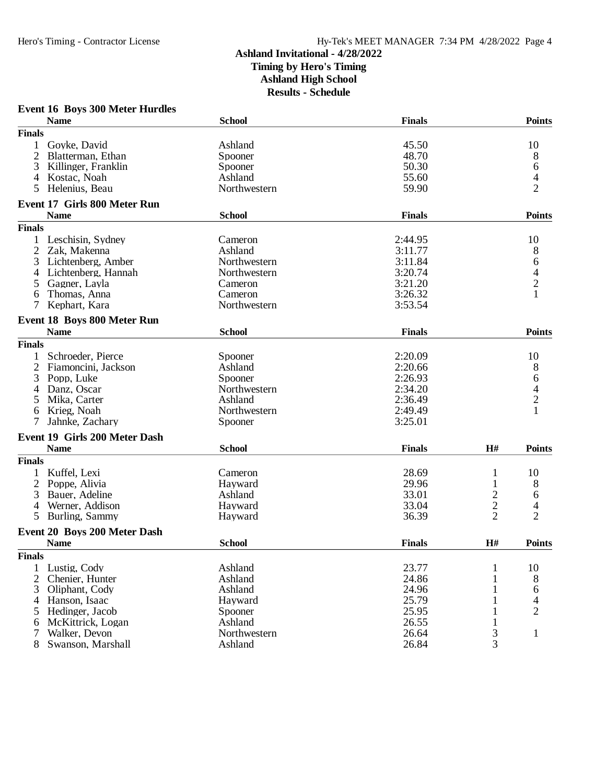### **Event 16 Boys 300 Meter Hurdles**

|                | <b>Name</b>                                        | <b>School</b>      | <b>Finals</b> |                         | <b>Points</b>            |
|----------------|----------------------------------------------------|--------------------|---------------|-------------------------|--------------------------|
| <b>Finals</b>  |                                                    |                    |               |                         |                          |
| 1              | Goyke, David                                       | Ashland            | 45.50         |                         | 10                       |
| $\overline{2}$ | Blatterman, Ethan                                  | Spooner            | 48.70         |                         | 8                        |
| 3              | Killinger, Franklin                                | Spooner            | 50.30         |                         | 6                        |
| 4              | Kostac, Noah                                       | Ashland            | 55.60         |                         | 4                        |
| 5              | Helenius, Beau                                     | Northwestern       | 59.90         |                         | $\overline{2}$           |
|                |                                                    |                    |               |                         |                          |
|                | <b>Event 17 Girls 800 Meter Run</b><br><b>Name</b> | <b>School</b>      | <b>Finals</b> |                         | <b>Points</b>            |
| <b>Finals</b>  |                                                    |                    |               |                         |                          |
|                | Leschisin, Sydney                                  |                    | 2:44.95       |                         |                          |
| $\overline{2}$ | Zak, Makenna                                       | Cameron<br>Ashland |               |                         | 10                       |
|                |                                                    |                    | 3:11.77       |                         | 8                        |
| 3              | Lichtenberg, Amber                                 | Northwestern       | 3:11.84       |                         | 6                        |
| 4              | Lichtenberg, Hannah                                | Northwestern       | 3:20.74       |                         | $\overline{\mathcal{L}}$ |
| 5              | Gagner, Layla                                      | Cameron            | 3:21.20       |                         | $\sqrt{2}$               |
| 6              | Thomas, Anna                                       | Cameron            | 3:26.32       |                         | $\mathbf{1}$             |
| 7              | Kephart, Kara                                      | Northwestern       | 3:53.54       |                         |                          |
|                | Event 18 Boys 800 Meter Run                        |                    |               |                         |                          |
|                | <b>Name</b>                                        | <b>School</b>      | <b>Finals</b> |                         | <b>Points</b>            |
| <b>Finals</b>  |                                                    |                    |               |                         |                          |
| 1              | Schroeder, Pierce                                  | Spooner            | 2:20.09       |                         | 10                       |
| $\overline{2}$ | Fiamoncini, Jackson                                | Ashland            | 2:20.66       |                         | 8                        |
| 3              | Popp, Luke                                         | Spooner            | 2:26.93       |                         | 6                        |
| 4              | Danz, Oscar                                        | Northwestern       | 2:34.20       |                         | $\frac{4}{2}$            |
| 5              | Mika, Carter                                       | Ashland            | 2:36.49       |                         |                          |
| 6              | Krieg, Noah                                        | Northwestern       | 2:49.49       |                         |                          |
| 7              | Jahnke, Zachary                                    | Spooner            | 3:25.01       |                         |                          |
|                | <b>Event 19 Girls 200 Meter Dash</b>               |                    |               |                         |                          |
|                | <b>Name</b>                                        | <b>School</b>      | <b>Finals</b> | H#                      | <b>Points</b>            |
| <b>Finals</b>  |                                                    |                    |               |                         |                          |
|                | Kuffel, Lexi                                       | Cameron            | 28.69         | 1                       | 10                       |
| 2              | Poppe, Alivia                                      | Hayward            | 29.96         | 1                       | 8                        |
| 3              | Bauer, Adeline                                     | Ashland            | 33.01         | $\overline{\mathbf{c}}$ | 6                        |
| $\overline{4}$ | Werner, Addison                                    | Hayward            | 33.04         | $\overline{c}$          | 4                        |
| 5              | Burling, Sammy                                     | Hayward            | 36.39         | $\overline{2}$          | $\overline{2}$           |
|                |                                                    |                    |               |                         |                          |
|                | <b>Event 20 Boys 200 Meter Dash</b>                |                    |               |                         |                          |
|                | <b>Name</b>                                        | <b>School</b>      | <b>Finals</b> | H#                      | <b>Points</b>            |
| <b>Finals</b>  |                                                    |                    |               |                         |                          |
|                | Lustig, Cody                                       | Ashland            | 23.77         | $\mathbf{1}$            | 10                       |
| 2              | Chenier, Hunter                                    | Ashland            | 24.86         | $\mathbf{1}$            | 8                        |
| 3              | Oliphant, Cody                                     | Ashland            | 24.96         | 1                       | 6                        |
| 4              | Hanson, Isaac                                      | Hayward            | 25.79         |                         | 4                        |
| 5              | Hedinger, Jacob                                    | Spooner            | 25.95         | 1                       | 2                        |
| 6              | McKittrick, Logan                                  | Ashland            | 26.55         | 1                       |                          |
| 7              | Walker, Devon                                      | Northwestern       | 26.64         | 3                       | $\mathbf{1}$             |
| 8              | Swanson, Marshall                                  | Ashland            | 26.84         | 3                       |                          |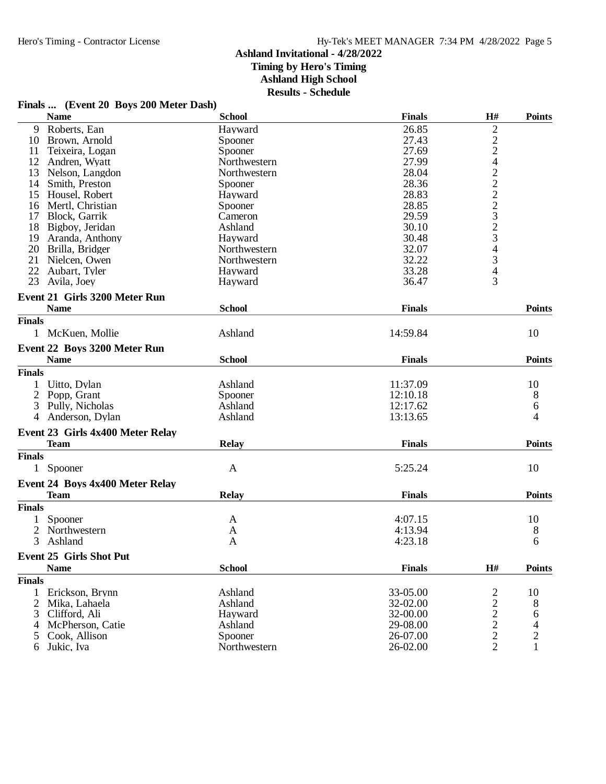## **Ashland Invitational - 4/28/2022 Timing by Hero's Timing**

**Ashland High School**

**Results - Schedule**

|  | Finals  (Event 20 Boys 200 Meter Dash) |  |  |  |
|--|----------------------------------------|--|--|--|
|--|----------------------------------------|--|--|--|

|               | <b>Name</b>                            | <b>School</b> | <b>Finals</b> | H#                                         | <b>Points</b>  |
|---------------|----------------------------------------|---------------|---------------|--------------------------------------------|----------------|
| 9             | Roberts, Ean                           | Hayward       | 26.85         | $\overline{c}$                             |                |
| 10            | Brown, Arnold                          | Spooner       | 27.43         |                                            |                |
| 11            | Teixeira, Logan                        | Spooner       | 27.69         |                                            |                |
| 12            | Andren, Wyatt                          | Northwestern  | 27.99         |                                            |                |
| 13            | Nelson, Langdon                        | Northwestern  | 28.04         |                                            |                |
| 14            | Smith, Preston                         | Spooner       | 28.36         |                                            |                |
| 15            | Housel, Robert                         | Hayward       | 28.83         |                                            |                |
| 16            | Mertl, Christian                       | Spooner       | 28.85         | 2242223234                                 |                |
| 17            | Block, Garrik                          | Cameron       | 29.59         |                                            |                |
| 18            | Bigboy, Jeridan                        | Ashland       | 30.10         |                                            |                |
| 19            | Aranda, Anthony                        | Hayward       | 30.48         |                                            |                |
| 20            | Brilla, Bridger                        | Northwestern  | 32.07         |                                            |                |
| 21            | Nielcen, Owen                          | Northwestern  | 32.22         | 3                                          |                |
| 22            | Aubart, Tyler                          | Hayward       | 33.28         | 4                                          |                |
| 23            | Avila, Joey                            | Hayward       | 36.47         | 3                                          |                |
|               | <b>Event 21 Girls 3200 Meter Run</b>   |               |               |                                            |                |
|               |                                        |               |               |                                            |                |
|               | <b>Name</b>                            | <b>School</b> | <b>Finals</b> |                                            | <b>Points</b>  |
| <b>Finals</b> |                                        |               |               |                                            |                |
|               | 1 McKuen, Mollie                       | Ashland       | 14:59.84      |                                            | 10             |
|               | Event 22 Boys 3200 Meter Run           |               |               |                                            |                |
|               | <b>Name</b>                            | <b>School</b> | <b>Finals</b> |                                            | <b>Points</b>  |
| <b>Finals</b> |                                        |               |               |                                            |                |
|               | Uitto, Dylan                           | Ashland       | 11:37.09      |                                            | 10             |
|               | 2 Popp, Grant                          | Spooner       | 12:10.18      |                                            | 8              |
| 3             | Pully, Nicholas                        | Ashland       | 12:17.62      |                                            | 6              |
| 4             | Anderson, Dylan                        | Ashland       | 13:13.65      |                                            | 4              |
|               |                                        |               |               |                                            |                |
|               | Event 23 Girls 4x400 Meter Relay       |               |               |                                            |                |
|               | <b>Team</b>                            | <b>Relay</b>  | <b>Finals</b> |                                            | <b>Points</b>  |
| <b>Finals</b> |                                        |               |               |                                            |                |
|               | Spooner                                | $\mathbf{A}$  | 5:25.24       |                                            | 10             |
|               | <b>Event 24 Boys 4x400 Meter Relay</b> |               |               |                                            |                |
|               | <b>Team</b>                            | <b>Relay</b>  | <b>Finals</b> |                                            | <b>Points</b>  |
| <b>Finals</b> |                                        |               |               |                                            |                |
|               |                                        |               |               |                                            |                |
| 1             | Spooner                                | A             | 4:07.15       |                                            | 10             |
|               | 2 Northwestern                         | A             | 4:13.94       |                                            | 8              |
| 3             | Ashland                                | A             | 4:23.18       |                                            | 6              |
|               | <b>Event 25 Girls Shot Put</b>         |               |               |                                            |                |
|               | <b>Name</b>                            | <b>School</b> | <b>Finals</b> | $\mathbf{H}$ #                             | <b>Points</b>  |
| <b>Finals</b> |                                        |               |               |                                            |                |
| 1             | Erickson, Brynn                        | Ashland       | 33-05.00      | $\overline{\mathbf{c}}$                    | 10             |
| 2             | Mika, Lahaela                          | Ashland       | 32-02.00      |                                            | 8              |
| 3             | Clifford, Ali                          | Hayward       | 32-00.00      |                                            | 6              |
| 4             | McPherson, Catie                       | Ashland       | 29-08.00      |                                            | 4              |
| 5             | Cook, Allison                          | Spooner       | 26-07.00      | $\begin{array}{c} 2 \\ 2 \\ 2 \end{array}$ | $\overline{c}$ |
| 6             | Jukic, Iva                             | Northwestern  | 26-02.00      | $\overline{2}$                             | $\mathbf{1}$   |
|               |                                        |               |               |                                            |                |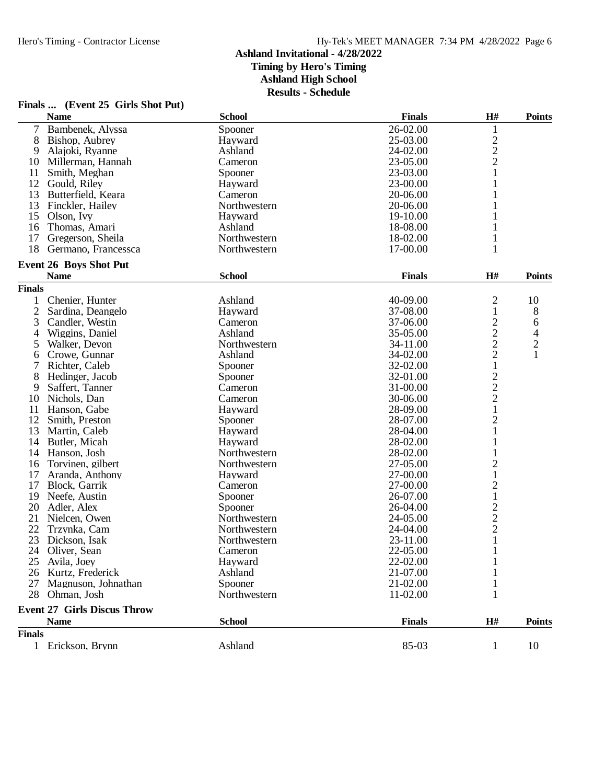## **Finals ... (Event 25 Girls Shot Put)**

|               | <b>Name</b>                        | <b>School</b> | <b>Finals</b> | H#                                              | <b>Points</b>  |
|---------------|------------------------------------|---------------|---------------|-------------------------------------------------|----------------|
| 7             | Bambenek, Alyssa                   | Spooner       | 26-02.00      | 1                                               |                |
| 8             | Bishop, Aubrey                     | Hayward       | 25-03.00      |                                                 |                |
| 9             | Alajoki, Ryanne                    | Ashland       | 24-02.00      | $\frac{2}{2}$                                   |                |
| 10            | Millerman, Hannah                  | Cameron       | 23-05.00      |                                                 |                |
| 11            | Smith, Meghan                      | Spooner       | 23-03.00      | $\mathbf 1$                                     |                |
| 12            | Gould, Riley                       | Hayward       | 23-00.00      | 1                                               |                |
| 13            | Butterfield, Keara                 | Cameron       | 20-06.00      | 1                                               |                |
| 13            | Finckler, Hailey                   | Northwestern  | 20-06.00      | 1                                               |                |
| 15            | Olson, Ivy                         | Hayward       | 19-10.00      |                                                 |                |
| 16            | Thomas, Amari                      | Ashland       | 18-08.00      | 1                                               |                |
| 17            | Gregerson, Sheila                  | Northwestern  | 18-02.00      | 1                                               |                |
| 18            | Germano, Francessca                | Northwestern  | 17-00.00      | 1                                               |                |
|               | <b>Event 26 Boys Shot Put</b>      |               |               |                                                 |                |
|               | <b>Name</b>                        | <b>School</b> | <b>Finals</b> | H#                                              | <b>Points</b>  |
| <b>Finals</b> |                                    |               |               |                                                 |                |
| 1             | Chenier, Hunter                    | Ashland       | 40-09.00      | 2                                               | 10             |
| $\mathbf{2}$  | Sardina, Deangelo                  | Hayward       | 37-08.00      | $\mathbf{1}$                                    | 8              |
| 3             | Candler, Westin                    | Cameron       | 37-06.00      |                                                 | 6              |
| 4             | Wiggins, Daniel                    | Ashland       | 35-05.00      | $\frac{2}{2}$                                   | $\overline{4}$ |
| 5             | Walker, Devon                      | Northwestern  | 34-11.00      |                                                 | $\sqrt{2}$     |
| 6             | Crowe, Gunnar                      | Ashland       | 34-02.00      | $\overline{c}$                                  | $\mathbf{1}$   |
| 7             | Richter, Caleb                     | Spooner       | 32-02.00      | $\mathbf{1}$                                    |                |
| 8             | Hedinger, Jacob                    | Spooner       | 32-01.00      |                                                 |                |
| 9             | Saffert, Tanner                    | Cameron       | 31-00.00      | $\begin{array}{c} 2 \\ 2 \\ 2 \\ 1 \end{array}$ |                |
| 10            | Nichols, Dan                       | Cameron       | 30-06.00      |                                                 |                |
| 11            | Hanson, Gabe                       | Hayward       | 28-09.00      |                                                 |                |
| 12            | Smith, Preston                     | Spooner       | 28-07.00      |                                                 |                |
| 13            | Martin, Caleb                      | Hayward       | 28-04.00      | $\frac{2}{1}$                                   |                |
| 14            | Butler, Micah                      | Hayward       | 28-02.00      | 1                                               |                |
| 14            | Hanson, Josh                       | Northwestern  | 28-02.00      | $\mathbf 1$                                     |                |
| 16            | Torvinen, gilbert                  | Northwestern  | 27-05.00      | $\overline{c}$                                  |                |
| 17            | Aranda, Anthony                    | Hayward       | 27-00.00      | $\mathbf{1}$                                    |                |
| 17            | Block, Garrik                      | Cameron       | 27-00.00      | $\overline{c}$                                  |                |
| 19            | Neefe, Austin                      | Spooner       | 26-07.00      | $\mathbf 1$                                     |                |
| 20            | Adler, Alex                        | Spooner       | 26-04.00      |                                                 |                |
| 21            | Nielcen, Owen                      | Northwestern  | 24-05.00      |                                                 |                |
| 22            | Trzynka, Cam                       | Northwestern  | 24-04.00      | $\begin{array}{c} 2 \\ 2 \\ 2 \\ 1 \end{array}$ |                |
| 23            | Dickson, Isak                      | Northwestern  | 23-11.00      |                                                 |                |
| 24            | Oliver, Sean                       | Cameron       | 22-05.00      | 1                                               |                |
|               | 25 Avila, Joey                     | Hayward       | 22-02.00      | 1                                               |                |
|               | 26 Kurtz, Frederick                | Ashland       | 21-07.00      |                                                 |                |
| 27            | Magnuson, Johnathan                | Spooner       | 21-02.00      |                                                 |                |
| 28            | Ohman, Josh                        | Northwestern  | 11-02.00      | 1                                               |                |
|               | <b>Event 27 Girls Discus Throw</b> |               |               |                                                 |                |
|               | <b>Name</b>                        | <b>School</b> | <b>Finals</b> | H#                                              | <b>Points</b>  |
| <b>Finals</b> |                                    |               |               |                                                 |                |
|               | 1 Erickson, Brynn                  | Ashland       | 85-03         | 1                                               | 10             |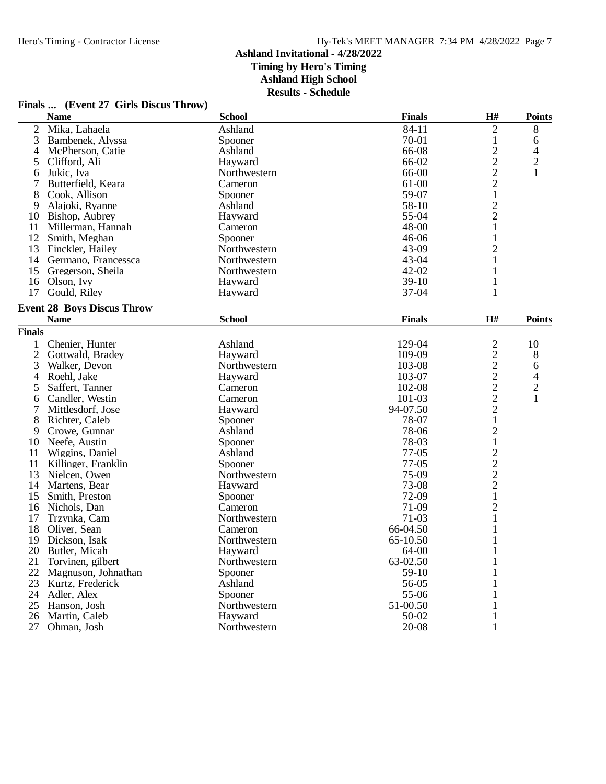## **Ashland Invitational - 4/28/2022 Timing by Hero's Timing**

**Ashland High School**

**Results - Schedule**

|  |  | Finals  (Event 27 Girls Discus Throw) |  |
|--|--|---------------------------------------|--|
|--|--|---------------------------------------|--|

|                | <b>Name</b>                          | <b>School</b> | <b>Finals</b> | H#                                              | <b>Points</b> |
|----------------|--------------------------------------|---------------|---------------|-------------------------------------------------|---------------|
| $\overline{2}$ | Mika, Lahaela                        | Ashland       | 84-11         | $\overline{2}$                                  | $8\,$         |
| 3              | Bambenek, Alyssa                     | Spooner       | 70-01         | 1                                               | 6             |
| 4              | McPherson, Catie                     | Ashland       | 66-08         | $\overline{\mathbf{c}}$                         | 4             |
| 5              | Clifford, Ali                        | Hayward       | 66-02         | $\overline{c}$                                  | 2             |
| 6              | Jukic, Iva                           | Northwestern  | 66-00         | $\frac{2}{2}$                                   | 1             |
| 7              | Butterfield, Keara                   | Cameron       | 61-00         |                                                 |               |
| 8              | Cook, Allison                        | Spooner       | 59-07         | $\mathbf 1$                                     |               |
| 9              | Alajoki, Ryanne                      | Ashland       | 58-10         |                                                 |               |
| 10             | Bishop, Aubrey                       | Hayward       | 55-04         | $\frac{2}{2}$                                   |               |
| 11             | Millerman, Hannah                    | Cameron       | 48-00         | 1                                               |               |
| 12             | Smith, Meghan                        | Spooner       | $46 - 06$     | 1                                               |               |
| 13             | Finckler, Hailey                     | Northwestern  | 43-09         | $\overline{c}$                                  |               |
|                | 14 Germano, Francessca               | Northwestern  | 43-04         | $\mathbf{1}$                                    |               |
| 15             | Gregerson, Sheila                    | Northwestern  | 42-02         | 1                                               |               |
| 16             | Olson, Ivy                           | Hayward       | $39-10$       | 1                                               |               |
| 17             | Gould, Riley                         | Hayward       | 37-04         | 1                                               |               |
|                | <b>Event 28 Boys Discus Throw</b>    |               |               |                                                 |               |
|                | <b>Name</b>                          | <b>School</b> | <b>Finals</b> | $\mathbf{H}$ #                                  | <b>Points</b> |
| <b>Finals</b>  |                                      |               |               |                                                 |               |
| 1              | Chenier, Hunter                      | Ashland       | 129-04        |                                                 | 10            |
| $\mathbf{2}$   | Gottwald, Bradey                     | Hayward       | 109-09        | $\overline{c}$                                  |               |
| 3              | Walker, Devon                        | Northwestern  | 103-08        | $\overline{\mathbf{c}}$                         | 8             |
|                | Roehl, Jake                          | Hayward       | 103-07        |                                                 | 6             |
| 4<br>5         | Saffert, Tanner                      | Cameron       | 102-08        | $\frac{2}{2}$                                   | 4             |
|                |                                      | Cameron       | 101-03        |                                                 | $\frac{2}{1}$ |
| 6<br>7         | Candler, Westin<br>Mittlesdorf, Jose | Hayward       | 94-07.50      | $\frac{2}{2}$                                   |               |
| 8              | Richter, Caleb                       | Spooner       | 78-07         | $\mathbf{1}$                                    |               |
| 9              |                                      | Ashland       | 78-06         |                                                 |               |
| 10             | Crowe, Gunnar<br>Neefe, Austin       | Spooner       | 78-03         | $\overline{\mathbf{c}}$<br>$\mathbf{1}$         |               |
| 11             | Wiggins, Daniel                      | Ashland       | $77-05$       |                                                 |               |
| 11             | Killinger, Franklin                  | Spooner       | $77-05$       | $\begin{array}{c} 2 \\ 2 \\ 2 \\ 1 \end{array}$ |               |
| 13             | Nielcen, Owen                        | Northwestern  | 75-09         |                                                 |               |
| 14             | Martens, Bear                        | Hayward       | 73-08         |                                                 |               |
| 15             | Smith, Preston                       | Spooner       | 72-09         |                                                 |               |
| 16             | Nichols, Dan                         | Cameron       | 71-09         | $\overline{c}$                                  |               |
| 17             | Trzynka, Cam                         | Northwestern  | 71-03         | $\mathbf{1}$                                    |               |
| 18             | Oliver, Sean                         | Cameron       | 66-04.50      | 1                                               |               |
| 19             | Dickson, Isak                        | Northwestern  | 65-10.50      | 1                                               |               |
| 20             | Butler, Micah                        | Hayward       | 64-00         | 1                                               |               |
| 21             | Torvinen, gilbert                    | Northwestern  | 63-02.50      |                                                 |               |
| 22             | Magnuson, Johnathan                  | Spooner       | 59-10         | 1<br>1                                          |               |
| 23             | Kurtz, Frederick                     | Ashland       | 56-05         | 1                                               |               |
| 24             | Adler, Alex                          | Spooner       | 55-06         | 1                                               |               |
| 25             | Hanson, Josh                         | Northwestern  | 51-00.50      | 1                                               |               |
| 26             | Martin, Caleb                        | Hayward       | 50-02         |                                                 |               |
| 27             | Ohman, Josh                          | Northwestern  | 20-08         | 1                                               |               |
|                |                                      |               |               | 1                                               |               |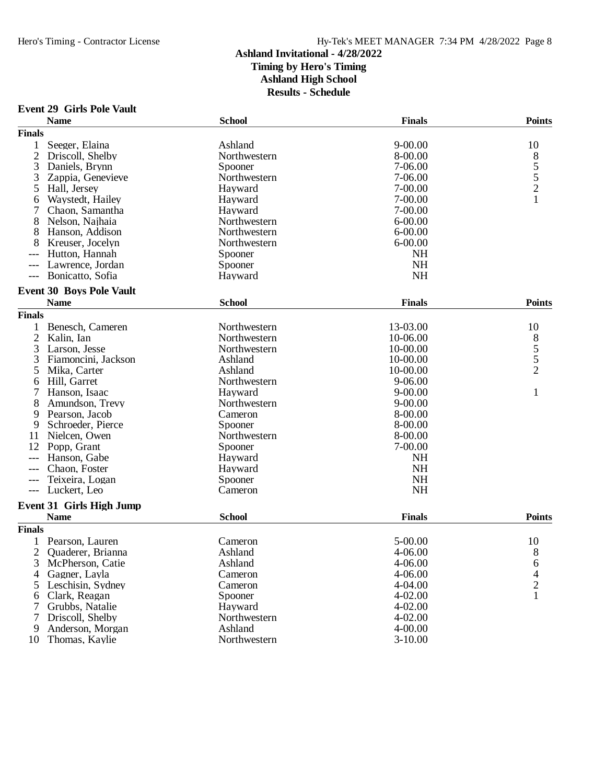## **Event 29 Girls Pole Vault**

|                | <b>Name</b>                     | <b>School</b> | <b>Finals</b> | <b>Points</b>     |
|----------------|---------------------------------|---------------|---------------|-------------------|
| <b>Finals</b>  |                                 |               |               |                   |
| 1              | Seeger, Elaina                  | Ashland       | $9 - 00.00$   | 10                |
| $\overline{2}$ | Driscoll, Shelby                | Northwestern  | 8-00.00       |                   |
| 3              | Daniels, Brynn                  | Spooner       | 7-06.00       | $\frac{8}{5}$ 5 2 |
| 3              | Zappia, Genevieve               | Northwestern  | 7-06.00       |                   |
| 5              | Hall, Jersey                    | Hayward       | 7-00.00       |                   |
| 6              | Waystedt, Hailey                | Hayward       | 7-00.00       | $\mathbf{1}$      |
|                | Chaon, Samantha                 | Hayward       | 7-00.00       |                   |
| 8              | Nelson, Najhaia                 | Northwestern  | $6 - 00.00$   |                   |
| 8              | Hanson, Addison                 | Northwestern  | $6 - 00.00$   |                   |
|                | Kreuser, Jocelyn                | Northwestern  | $6 - 00.00$   |                   |
|                | Hutton, Hannah                  | Spooner       | <b>NH</b>     |                   |
|                | Lawrence, Jordan                | Spooner       | <b>NH</b>     |                   |
| $---$          | Bonicatto, Sofia                | Hayward       | <b>NH</b>     |                   |
|                | <b>Event 30 Boys Pole Vault</b> |               |               |                   |
|                | <b>Name</b>                     | <b>School</b> | <b>Finals</b> | <b>Points</b>     |
| <b>Finals</b>  |                                 |               |               |                   |
| 1              | Benesch, Cameren                | Northwestern  | 13-03.00      | 10                |
| $\overline{2}$ | Kalin, Ian                      | Northwestern  | 10-06.00      | 8                 |
| 3              | Larson, Jesse                   | Northwestern  | 10-00.00      | $\frac{5}{5}$     |
| 3              | Fiamoncini, Jackson             | Ashland       | 10-00.00      |                   |
| 5              | Mika, Carter                    | Ashland       | 10-00.00      | $\overline{2}$    |
| 6              | Hill, Garret                    | Northwestern  | 9-06.00       |                   |
|                | Hanson, Isaac                   | Hayward       | $9 - 00.00$   | $\mathbf{1}$      |
| 8              | Amundson, Trevy                 | Northwestern  | $9 - 00.00$   |                   |
| 9              | Pearson, Jacob                  | Cameron       | 8-00.00       |                   |
| 9              | Schroeder, Pierce               | Spooner       | 8-00.00       |                   |
| 11             | Nielcen, Owen                   | Northwestern  | 8-00.00       |                   |
| 12             | Popp, Grant                     | Spooner       | 7-00.00       |                   |
| ---            | Hanson, Gabe                    | Hayward       | <b>NH</b>     |                   |
|                | Chaon, Foster                   | Hayward       | <b>NH</b>     |                   |
|                | Teixeira, Logan                 | Spooner       | <b>NH</b>     |                   |
| $---$          | Luckert, Leo                    | Cameron       | NH            |                   |
|                | Event 31 Girls High Jump        |               |               |                   |
|                | <b>Name</b>                     | <b>School</b> | <b>Finals</b> | <b>Points</b>     |
| <b>Finals</b>  |                                 |               |               |                   |
|                | Pearson, Lauren                 | Cameron       | 5-00.00       | 10                |
| 2              | Quaderer, Brianna               | Ashland       | 4-06.00       | 8                 |
| J.             | McPherson, Catie                | Ashland       | 4-06.00       | 6                 |
| 4              | Gagner, Layla                   | Cameron       | 4-06.00       | 4                 |
| 5              | Leschisin, Sydney               | Cameron       | 4-04.00       | $\overline{c}$    |
| 6              | Clark, Reagan                   | Spooner       | 4-02.00       | 1                 |
| 7              | Grubbs, Natalie                 | Hayward       | $4 - 02.00$   |                   |
|                | Driscoll, Shelby                | Northwestern  | 4-02.00       |                   |
| 9              | Anderson, Morgan                | Ashland       | 4-00.00       |                   |
| 10             | Thomas, Kaylie                  | Northwestern  | $3-10.00$     |                   |
|                |                                 |               |               |                   |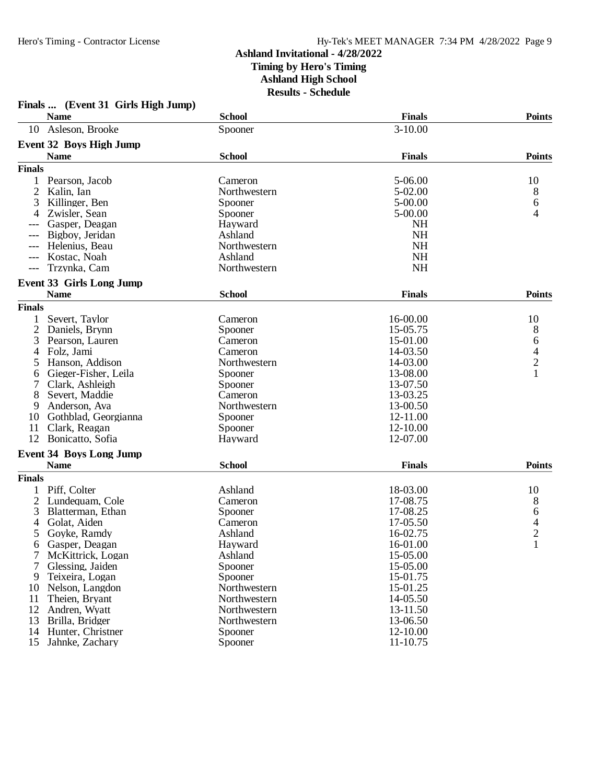|                     | Finals  (Event 31 Girls High Jump)<br><b>Name</b> | <b>School</b> | <b>Finals</b> | <b>Points</b> |
|---------------------|---------------------------------------------------|---------------|---------------|---------------|
| 10                  | Asleson, Brooke                                   | Spooner       | $3 - 10.00$   |               |
|                     | <b>Event 32 Boys High Jump</b>                    |               |               |               |
|                     | <b>Name</b>                                       | <b>School</b> | <b>Finals</b> | <b>Points</b> |
| <b>Finals</b>       |                                                   |               |               |               |
|                     | Pearson, Jacob                                    | Cameron       | 5-06.00       | 10            |
| 2                   | Kalin, Ian                                        | Northwestern  | 5-02.00       | 8             |
| 3                   | Killinger, Ben                                    | Spooner       | 5-00.00       | 6             |
| 4                   | Zwisler, Sean                                     | Spooner       | $5 - 00.00$   | 4             |
|                     | Gasper, Deagan                                    | Hayward       | <b>NH</b>     |               |
|                     | Bigboy, Jeridan                                   | Ashland       | <b>NH</b>     |               |
| $---$               | Helenius, Beau                                    | Northwestern  | <b>NH</b>     |               |
| $---$               | Kostac, Noah                                      | Ashland       | <b>NH</b>     |               |
| $\qquad \qquad - -$ | Trzynka, Cam                                      | Northwestern  | <b>NH</b>     |               |
|                     | <b>Event 33 Girls Long Jump</b>                   |               |               |               |
|                     | <b>Name</b>                                       | <b>School</b> | <b>Finals</b> | <b>Points</b> |
| <b>Finals</b>       |                                                   |               |               |               |
|                     | Severt, Taylor                                    | Cameron       | 16-00.00      | 10            |
| $\overline{c}$      | Daniels, Brynn                                    | Spooner       | 15-05.75      | 8             |
| 3                   | Pearson, Lauren                                   | Cameron       | 15-01.00      | 6             |
| 4                   | Folz, Jami                                        | Cameron       | 14-03.50      |               |
| 5                   | Hanson, Addison                                   | Northwestern  | 14-03.00      | $\frac{4}{2}$ |
| 6                   | Gieger-Fisher, Leila                              | Spooner       | 13-08.00      | $\mathbf{1}$  |
|                     | Clark, Ashleigh                                   | Spooner       | 13-07.50      |               |
| 8                   | Severt, Maddie                                    | Cameron       | 13-03.25      |               |
| 9                   | Anderson, Ava                                     | Northwestern  | 13-00.50      |               |
| 10                  | Gothblad, Georgianna                              | Spooner       | 12-11.00      |               |
| 11                  | Clark, Reagan                                     | Spooner       | 12-10.00      |               |
| 12                  | Bonicatto, Sofia                                  | Hayward       | 12-07.00      |               |
|                     | <b>Event 34 Boys Long Jump</b>                    |               |               |               |
|                     | <b>Name</b>                                       | <b>School</b> | <b>Finals</b> | <b>Points</b> |
| <b>Finals</b>       |                                                   |               |               |               |
| 1                   | Piff, Colter                                      | Ashland       | 18-03.00      | 10            |
| $\overline{c}$      | Lundequam, Cole                                   | Cameron       | 17-08.75      | 8             |
| 3                   | Blatterman, Ethan                                 | Spooner       | 17-08.25      | 6             |
| 4                   | Golat, Aiden                                      | Cameron       | 17-05.50      | $\frac{4}{2}$ |
| 5                   | Goyke, Ramdy                                      | Ashland       | 16-02.75      |               |
| 6                   | Gasper, Deagan                                    | Hayward       | 16-01.00      | 1             |
|                     | McKittrick, Logan                                 | Ashland       | 15-05.00      |               |
| 7                   | Glessing, Jaiden                                  | Spooner       | 15-05.00      |               |
| 9                   | Teixeira, Logan                                   | Spooner       | 15-01.75      |               |
| 10                  | Nelson, Langdon                                   | Northwestern  | 15-01.25      |               |
| 11                  | Theien, Bryant                                    | Northwestern  | 14-05.50      |               |
| 12                  | Andren, Wyatt                                     | Northwestern  | 13-11.50      |               |
| 13                  | Brilla, Bridger                                   | Northwestern  | 13-06.50      |               |
| 14                  | Hunter, Christner                                 | Spooner       | 12-10.00      |               |
| 15                  | Jahnke, Zachary                                   | Spooner       | 11-10.75      |               |

# **Finals ... (Event 31 Girls High Jump)**